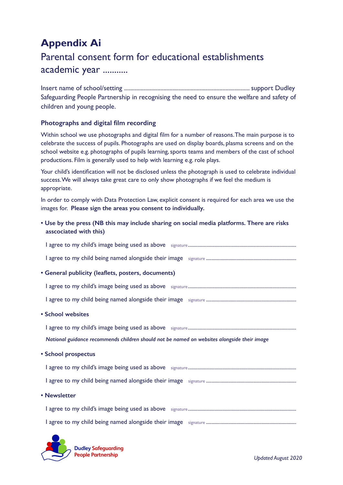## **Appendix Ai**

## Parental consent form for educational establishments academic year ...........

Insert name of school/setting ................................................................................... support Dudley Safeguarding People Partnership in recognising the need to ensure the welfare and safety of children and young people.

## **Photographs and digital film recording**

Within school we use photographs and digital film for a number of reasons. The main purpose is to celebrate the success of pupils. Photographs are used on display boards, plasma screens and on the school website e.g. photographs of pupils learning, sports teams and members of the cast of school productions. Film is generally used to help with learning e.g. role plays.

Your child's identification will not be disclosed unless the photograph is used to celebrate individual success. We will always take great care to only show photographs if we feel the medium is appropriate.

In order to comply with Data Protection Law, explicit consent is required for each area we use the images for. **Please sign the areas you consent to individually.**

**• Use by the press (NB this may include sharing on social media platforms. There are risks asscociated with this)**

| • General publicity (leaflets, posters, documents)                                          |
|---------------------------------------------------------------------------------------------|
|                                                                                             |
|                                                                                             |
| • School websites                                                                           |
|                                                                                             |
| National guidance recommends children should not be named on websites alongside their image |
| • School prospectus                                                                         |
|                                                                                             |
|                                                                                             |
| • Newsletter                                                                                |
|                                                                                             |
|                                                                                             |